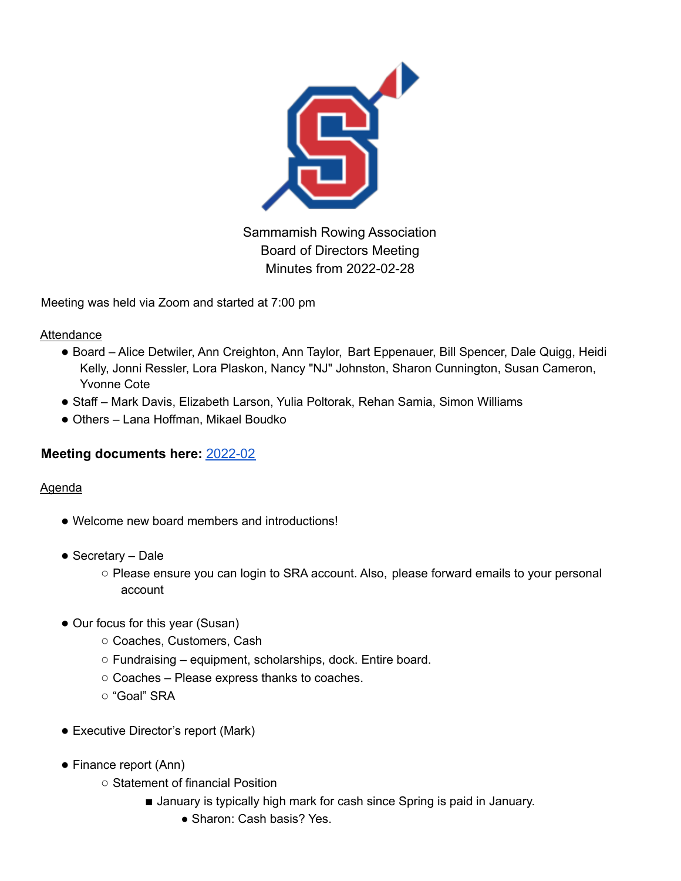

Sammamish Rowing Association Board of Directors Meeting Minutes from 2022-02-28

Meeting was held via Zoom and started at 7:00 pm

Attendance

- Board Alice Detwiler, Ann Creighton, Ann Taylor, Bart Eppenauer, Bill Spencer, Dale Quigg, Heidi Kelly, Jonni Ressler, Lora Plaskon, Nancy "NJ" Johnston, Sharon Cunnington, Susan Cameron, Yvonne Cote
- Staff Mark Davis, Elizabeth Larson, Yulia Poltorak, Rehan Samia, Simon Williams
- Others Lana Hoffman, Mikael Boudko

## **Meeting documents here:** 2022-02

## **Agenda**

- Welcome new board members and introductions!
- Secretary Dale
	- Please ensure you can login to SRA account. Also, please forward emails to your personal account
- Our focus for this year (Susan)
	- Coaches, Customers, Cash
	- Fundraising equipment, scholarships, dock. Entire board.
	- Coaches Please express thanks to coaches.
	- "Goal" SRA
- Executive Director's report (Mark)
- Finance report (Ann)
	- Statement of financial Position
		- January is typically high mark for cash since Spring is paid in January.
			- Sharon: Cash basis? Yes.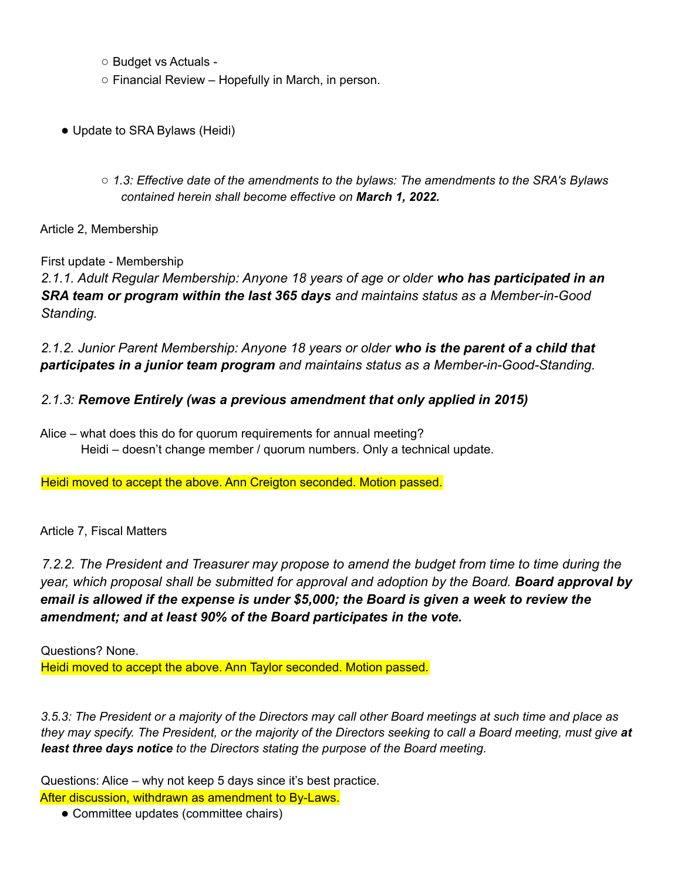- Budget vs Actuals -
- Financial Review Hopefully in March, in person.
- Update to SRA Bylaws (Heidi)
	- *1.3: Effective date of the amendments to the bylaws: The amendments to the SRA's Bylaws contained herein shall become effective on March 1, 2022.*

Article 2, Membership

First update - Membership

*2.1.1. Adult Regular Membership: Anyone 18 years of age or older who has participated in an SRA team or program within the last 365 days and maintains status as a Member-in-Good Standing.*

*2.1.2. Junior Parent Membership: Anyone 18 years or older who is the parent of a child that participates in a junior team program and maintains status as a Member-in-Good-Standing.*

## *2.1.3: Remove Entirely (was a previous amendment that only applied in 2015)*

Alice – what does this do for quorum requirements for annual meeting? Heidi – doesn't change member / quorum numbers. Only a technical update.

Heidi moved to accept the above. Ann Creigton seconded. Motion passed.

## Article 7, Fiscal Matters

*7.2.2. The President and Treasurer may propose to amend the budget from time to time during the year, which proposal shall be submitted for approval and adoption by the Board. Board approval by email is allowed if the expense is under \$5,000; the Board is given a week to review the amendment; and at least 90% of the Board participates in the vote.*

Questions? None. Heidi moved to accept the above. Ann Taylor seconded. Motion passed.

3.5.3: The President or a majority of the Directors may call other Board meetings at such time and place as they may specify. The President, or the majority of the Directors seeking to call a Board meeting, must give at *least three days notice to the Directors stating the purpose of the Board meeting.*

Questions: Alice – why not keep 5 days since it's best practice.

After discussion, withdrawn as amendment to By-Laws.

● Committee updates (committee chairs)